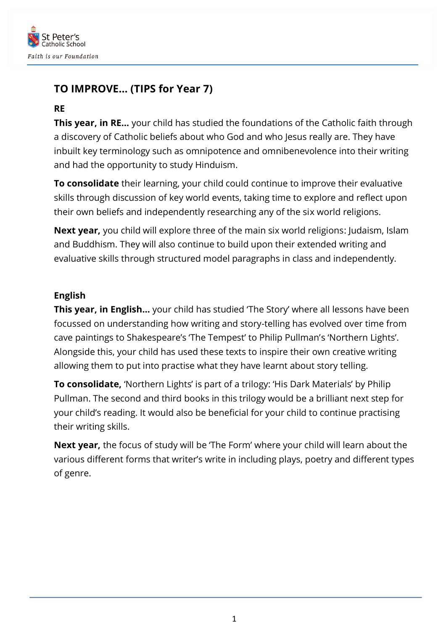

# **TO IMPROVE… (TIPS for Year 7)**

## **RE**

**This year, in RE…** your child has studied the foundations of the Catholic faith through a discovery of Catholic beliefs about who God and who Jesus really are. They have inbuilt key terminology such as omnipotence and omnibenevolence into their writing and had the opportunity to study Hinduism.

**To consolidate** their learning, your child could continue to improve their evaluative skills through discussion of key world events, taking time to explore and reflect upon their own beliefs and independently researching any of the six world religions.

**Next year,** you child will explore three of the main six world religions: Judaism, Islam and Buddhism. They will also continue to build upon their extended writing and evaluative skills through structured model paragraphs in class and independently.

### **English**

**This year, in English…** your child has studied 'The Story' where all lessons have been focussed on understanding how writing and story-telling has evolved over time from cave paintings to Shakespeare's 'The Tempest' to Philip Pullman's 'Northern Lights'. Alongside this, your child has used these texts to inspire their own creative writing allowing them to put into practise what they have learnt about story telling.

**To consolidate,** 'Northern Lights' is part of a trilogy: 'His Dark Materials' by Philip Pullman. The second and third books in this trilogy would be a brilliant next step for your child's reading. It would also be beneficial for your child to continue practising their writing skills.

**Next year,** the focus of study will be 'The Form' where your child will learn about the various different forms that writer's write in including plays, poetry and different types of genre.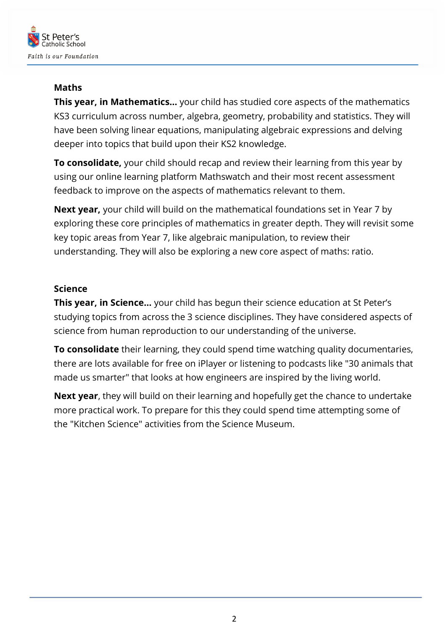

## **Maths**

**This year, in Mathematics…** your child has studied core aspects of the mathematics KS3 curriculum across number, algebra, geometry, probability and statistics. They will have been solving linear equations, manipulating algebraic expressions and delving deeper into topics that build upon their KS2 knowledge.

**To consolidate,** your child should recap and review their learning from this year by using our online learning platform Mathswatch and their most recent assessment feedback to improve on the aspects of mathematics relevant to them.

**Next year,** your child will build on the mathematical foundations set in Year 7 by exploring these core principles of mathematics in greater depth. They will revisit some key topic areas from Year 7, like algebraic manipulation, to review their understanding. They will also be exploring a new core aspect of maths: ratio.

### **Science**

**This year, in Science…** your child has begun their science education at St Peter's studying topics from across the 3 science disciplines. They have considered aspects of science from human reproduction to our understanding of the universe.

**To consolidate** their learning, they could spend time watching quality documentaries, there are lots available for free on iPlayer or listening to podcasts like "30 animals that made us smarter" that looks at how engineers are inspired by the living world.

**Next year**, they will build on their learning and hopefully get the chance to undertake more practical work. To prepare for this they could spend time attempting some of the "Kitchen Science" activities from the Science Museum.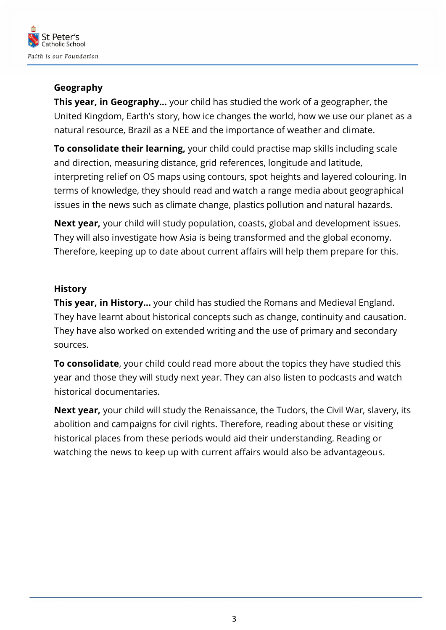

## **Geography**

**This year, in Geography…** your child has studied the work of a geographer, the United Kingdom, Earth's story, how ice changes the world, how we use our planet as a natural resource, Brazil as a NEE and the importance of weather and climate.

**To consolidate their learning,** your child could practise map skills including scale and direction, measuring distance, grid references, longitude and latitude, interpreting relief on OS maps using contours, spot heights and layered colouring. In terms of knowledge, they should read and watch a range media about geographical issues in the news such as climate change, plastics pollution and natural hazards.

**Next year,** your child will study population, coasts, global and development issues. They will also investigate how Asia is being transformed and the global economy. Therefore, keeping up to date about current affairs will help them prepare for this.

## **History**

**This year, in History…** your child has studied the Romans and Medieval England. They have learnt about historical concepts such as change, continuity and causation. They have also worked on extended writing and the use of primary and secondary sources.

**To consolidate**, your child could read more about the topics they have studied this year and those they will study next year. They can also listen to podcasts and watch historical documentaries.

**Next year,** your child will study the Renaissance, the Tudors, the Civil War, slavery, its abolition and campaigns for civil rights. Therefore, reading about these or visiting historical places from these periods would aid their understanding. Reading or watching the news to keep up with current affairs would also be advantageous.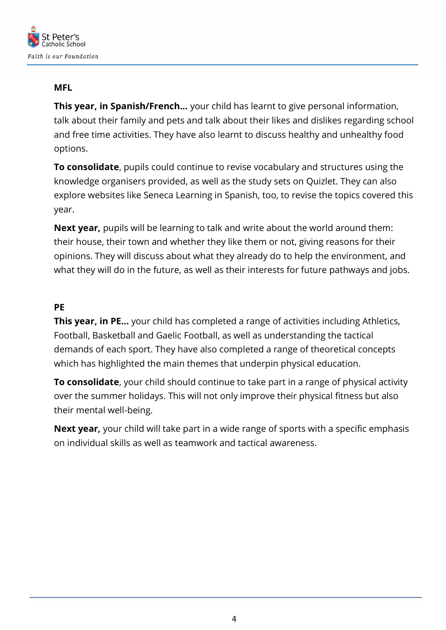

#### **MFL**

**This year, in Spanish/French…** your child has learnt to give personal information, talk about their family and pets and talk about their likes and dislikes regarding school and free time activities. They have also learnt to discuss healthy and unhealthy food options.

**To consolidate**, pupils could continue to revise vocabulary and structures using the knowledge organisers provided, as well as the study sets on Quizlet. They can also explore websites like Seneca Learning in Spanish, too, to revise the topics covered this year.

**Next year,** pupils will be learning to talk and write about the world around them: their house, their town and whether they like them or not, giving reasons for their opinions. They will discuss about what they already do to help the environment, and what they will do in the future, as well as their interests for future pathways and jobs.

#### **PE**

**This year, in PE…** your child has completed a range of activities including Athletics, Football, Basketball and Gaelic Football, as well as understanding the tactical demands of each sport. They have also completed a range of theoretical concepts which has highlighted the main themes that underpin physical education.

**To consolidate**, your child should continue to take part in a range of physical activity over the summer holidays. This will not only improve their physical fitness but also their mental well-being.

**Next year,** your child will take part in a wide range of sports with a specific emphasis on individual skills as well as teamwork and tactical awareness.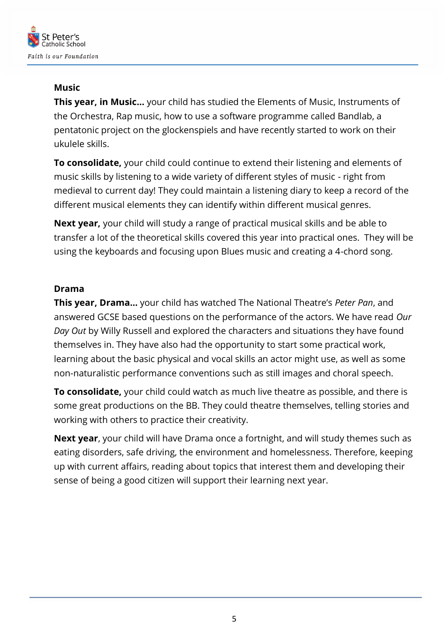

## **Music**

**This year, in Music…** your child has studied the Elements of Music, Instruments of the Orchestra, Rap music, how to use a software programme called Bandlab, a pentatonic project on the glockenspiels and have recently started to work on their ukulele skills.

**To consolidate,** your child could continue to extend their listening and elements of music skills by listening to a wide variety of different styles of music - right from medieval to current day! They could maintain a listening diary to keep a record of the different musical elements they can identify within different musical genres.

**Next year,** your child will study a range of practical musical skills and be able to transfer a lot of the theoretical skills covered this year into practical ones. They will be using the keyboards and focusing upon Blues music and creating a 4-chord song.

### **Drama**

**This year, Drama…** your child has watched The National Theatre's *Peter Pan*, and answered GCSE based questions on the performance of the actors. We have read *Our Day Out* by Willy Russell and explored the characters and situations they have found themselves in. They have also had the opportunity to start some practical work, learning about the basic physical and vocal skills an actor might use, as well as some non-naturalistic performance conventions such as still images and choral speech.

**To consolidate,** your child could watch as much live theatre as possible, and there is some great productions on the BB. They could theatre themselves, telling stories and working with others to practice their creativity.

**Next year**, your child will have Drama once a fortnight, and will study themes such as eating disorders, safe driving, the environment and homelessness. Therefore, keeping up with current affairs, reading about topics that interest them and developing their sense of being a good citizen will support their learning next year.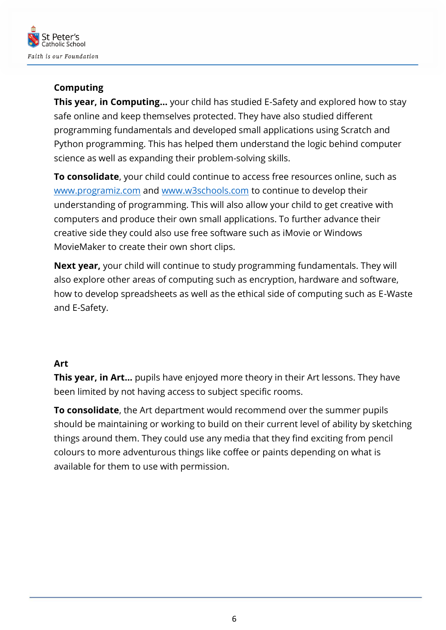

## **Computing**

**This year, in Computing…** your child has studied E-Safety and explored how to stay safe online and keep themselves protected. They have also studied different programming fundamentals and developed small applications using Scratch and Python programming. This has helped them understand the logic behind computer science as well as expanding their problem-solving skills.

**To consolidate**, your child could continue to access free resources online, such as [www.programiz.com](http://www.programiz.com/) and [www.w3schools.com](http://www.w3schools.com/) to continue to develop their understanding of programming. This will also allow your child to get creative with computers and produce their own small applications. To further advance their creative side they could also use free software such as iMovie or Windows MovieMaker to create their own short clips.

**Next year,** your child will continue to study programming fundamentals. They will also explore other areas of computing such as encryption, hardware and software, how to develop spreadsheets as well as the ethical side of computing such as E-Waste and E-Safety.

#### **Art**

**This year, in Art…** pupils have enjoyed more theory in their Art lessons. They have been limited by not having access to subject specific rooms.

**To consolidate**, the Art department would recommend over the summer pupils should be maintaining or working to build on their current level of ability by sketching things around them. They could use any media that they find exciting from pencil colours to more adventurous things like coffee or paints depending on what is available for them to use with permission.